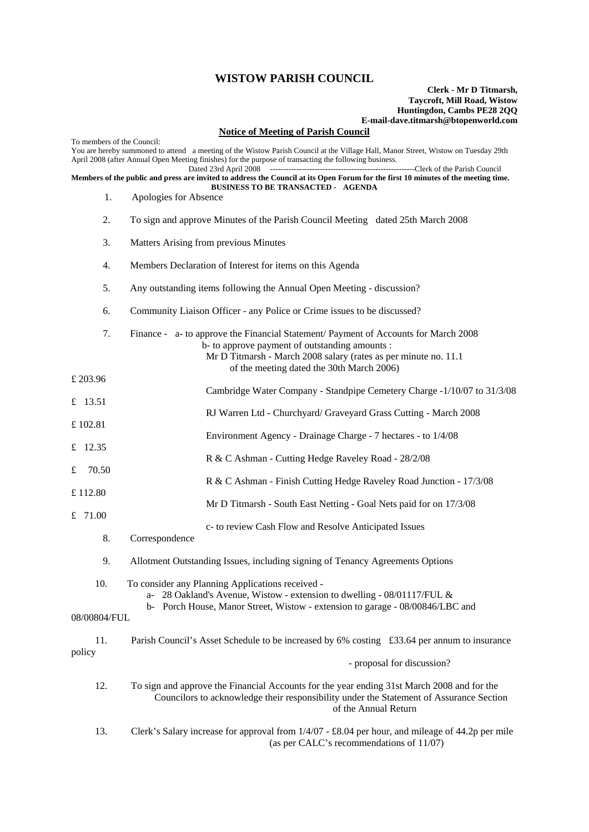## **WISTOW PARISH COUNCIL**

## **Clerk - Mr D Titmarsh, Taycroft, Mill Road, Wistow Huntingdon, Cambs PE28 2QQ E-mail-dave.titmarsh@btopenworld.com**

## **Notice of Meeting of Parish Council**

To members of the Council: You are hereby summoned to attend a meeting of the Wistow Parish Council at the Village Hall, Manor Street, Wistow on Tuesday 29th April 2008 (after Annual Open Meeting finishes) for the purpose of transacting the following business. -Clerk of the Parish Council **Members of the public and press are invited to address the Council at its Open Forum for the first 10 minutes of the meeting time. BUSINESS TO BE TRANSACTED - AGENDA**  1. Apologies for Absence 2. To sign and approve Minutes of the Parish Council Meeting dated 25th March 2008 3. Matters Arising from previous Minutes 4. Members Declaration of Interest for items on this Agenda 5. Any outstanding items following the Annual Open Meeting - discussion? 6. Community Liaison Officer - any Police or Crime issues to be discussed? 7. Finance - a- to approve the Financial Statement/ Payment of Accounts for March 2008 b- to approve payment of outstanding amounts : Mr D Titmarsh - March 2008 salary (rates as per minute no. 11.1 of the meeting dated the 30th March 2006) £ 203.96 Cambridge Water Company - Standpipe Cemetery Charge -1/10/07 to 31/3/08 £ 13.51 RJ Warren Ltd - Churchyard/ Graveyard Grass Cutting - March 2008 £ 102.81 Environment Agency - Drainage Charge - 7 hectares - to 1/4/08 £ 12.35 R & C Ashman - Cutting Hedge Raveley Road - 28/2/08 £ 70.50 R & C Ashman - Finish Cutting Hedge Raveley Road Junction - 17/3/08 £ 112.80 Mr D Titmarsh - South East Netting - Goal Nets paid for on 17/3/08 £ 71.00 c- to review Cash Flow and Resolve Anticipated Issues 8. Correspondence 9. Allotment Outstanding Issues, including signing of Tenancy Agreements Options 10. To consider any Planning Applications received a- 28 Oakland's Avenue, Wistow - extension to dwelling - 08/01117/FUL & b- Porch House, Manor Street, Wistow - extension to garage - 08/00846/LBC and 08/00804/FUL 11. Parish Council's Asset Schedule to be increased by 6% costing £33.64 per annum to insurance policy - proposal for discussion? 12. To sign and approve the Financial Accounts for the year ending 31st March 2008 and for the Councilors to acknowledge their responsibility under the Statement of Assurance Section of the Annual Return 13. Clerk's Salary increase for approval from 1/4/07 - £8.04 per hour, and mileage of 44.2p per mile

(as per CALC's recommendations of 11/07)